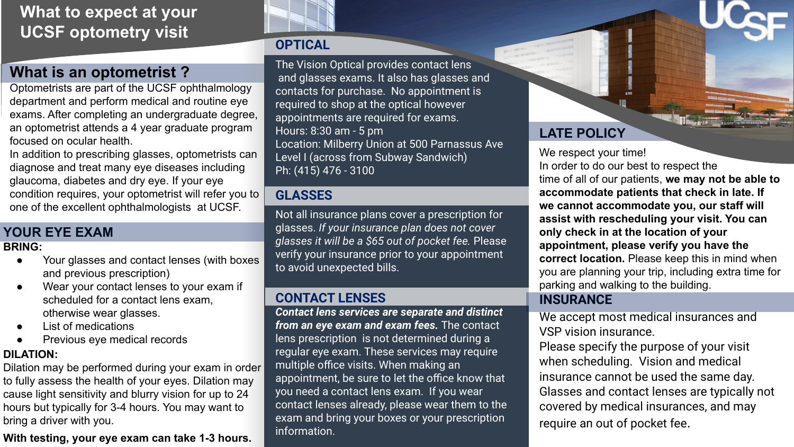## **What to expect at your UCSF optometry visit**

### **What is an optometrist ?**

Optometrists are part of the UCSF ophthalmology department and perform medical and routine eye exams. After completing an undergraduate degree, an optometrist attends a 4 year graduate program focused on ocular health.

In addition to prescribing glasses, optometrists can diagnose and treat many eye diseases including glaucoma, diabetes and dry eye. If your eye condition requires, your optometrist will refer you to one of the excellent ophthalmologists at UCSF.

### **YOUR EYE EXAM**

#### **BRING:**

- Your glasses and contact lenses (with boxes and previous prescription)
- vear your contact lenses to your ex<br>scheduled for a contact lens exam, Wear your contact lenses to your exam if otherwise wear glasses.
- List of medications
- Previous eye medical records

#### **DILATION:**

Dilation may be performed during your exam in order to fully assess the health of your eyes. Dilation may cause light sensitivity and blurry vision for up to 24 hours but typically for 3-4 hours. You may want to bring a driver with you.

#### **With testing, your eye exam can take 1-3 hours.**



### **OPTICAL**

The Vision Optical provides contact lens and glasses exams. It also has glasses and contacts for purchase. No appointment is required to shop at the optical however appointments are required for exams. Hours: 8:30 am - 5 pm Location: Milberry Union at 500 Parnassus Ave Level I (across from Subway Sandwich) Ph: (415) 476 - 3100

### **GLASSES**

Not all insurance plans cover a prescription for glasses. *If your insurance plan does not cover glasses it will be a \$65 out of pocket fee.* Please verify your insurance prior to your appointment to avoid unexpected bills.

### **CONTACT LENSES**

*Contact lens services are separate and distinct from an eye exam and exam fees.* The contact lens prescription is not determined during a regular eye exam. These services may require multiple office visits. When making an appointment, be sure to let the office know that you need a contact lens exam. If you wear contact lenses already, please wear them to the exam and bring your boxes or your prescription information.

### **LATE POLICY**

We respect your time! In order to do our best to respect the time of all of our patients, **we may not be able to accommodate patients that check in late. If we cannot accommodate you, our staff will assist with rescheduling your visit. You can only check in at the location of your appointment, please verify you have the correct location.** Please keep this in mind when you are planning your trip, including extra time for parking and walking to the building.

### **INSURANCE**

We accept most medical insurances and VSP vision insurance.

Please specify the purpose of your visit when scheduling. Vision and medical insurance cannot be used the same day. Glasses and contact lenses are typically not covered by medical insurances, and may require an out of pocket fee.